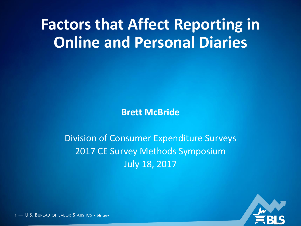# **Factors that Affect Reporting in Online and Personal Diaries**

**Brett McBride**

#### Division of Consumer Expenditure Surveys 2017 CE Survey Methods Symposium July 18, 2017



1 — U.S. BUREAU OF LABOR STATISTICS • **bls.gov**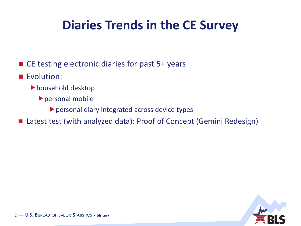#### **Diaries Trends in the CE Survey**

- CE testing electronic diaries for past 5+ years
- Evolution:
	- household desktop
		- personal mobile
			- personal diary integrated across device types
- Latest test (with analyzed data): Proof of Concept (Gemini Redesign)

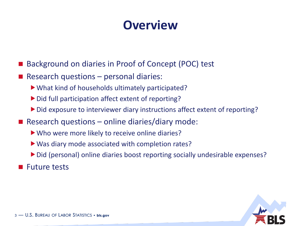#### **Overview**

- Background on diaries in Proof of Concept (POC) test
- Research questions  $-$  personal diaries:
	- What kind of households ultimately participated?
	- $\triangleright$  Did full participation affect extent of reporting?
	- Did exposure to interviewer diary instructions affect extent of reporting?
- Research questions online diaries/diary mode:
	- Who were more likely to receive online diaries?
	- ▶ Was diary mode associated with completion rates?
	- ▶ Did (personal) online diaries boost reporting socially undesirable expenses?
- **Future tests**

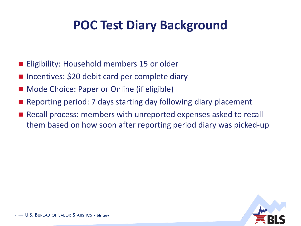#### **POC Test Diary Background**

- Eligibility: Household members 15 or older
- Incentives: \$20 debit card per complete diary
- Mode Choice: Paper or Online (if eligible)
- Reporting period: 7 days starting day following diary placement
- Recall process: members with unreported expenses asked to recall them based on how soon after reporting period diary was picked-up

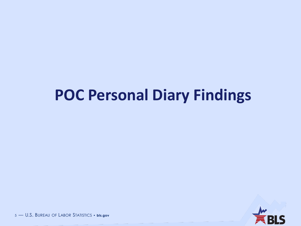## **POC Personal Diary Findings**



5 — U.S. BUREAU OF LABOR STATISTICS • **bls.gov**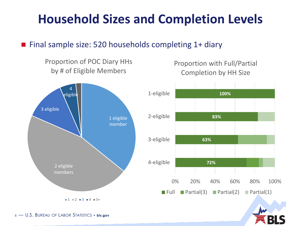#### **Household Sizes and Completion Levels**

#### ■ Final sample size: 520 households completing 1+ diary



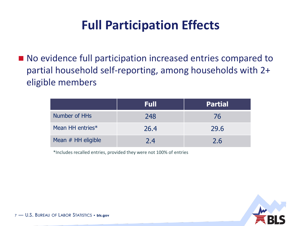### **Full Participation Effects**

■ No evidence full participation increased entries compared to partial household self-reporting, among households with 2+ eligible members

|                      | Full | <b>Partial</b> |
|----------------------|------|----------------|
| Number of HHs        | 248  | 76             |
| Mean HH entries*     | 26.4 | 29.6           |
| Mean $#$ HH eligible | 2.4  | 2.6            |

\*Includes recalled entries, provided they were not 100% of entries

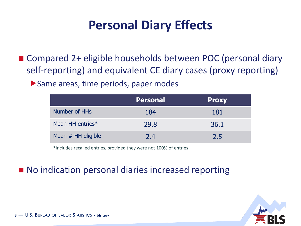#### **Personal Diary Effects**

■ Compared 2+ eligible households between POC (personal diary self-reporting) and equivalent CE diary cases (proxy reporting)

Same areas, time periods, paper modes

|                      | <b>Personal</b> | <b>Proxy</b> |
|----------------------|-----------------|--------------|
| Number of HHs        | 184             | 181          |
| Mean HH entries*     | 29.8            | 36.1         |
| Mean $#$ HH eligible | 7.4             | 2.5          |

\*Includes recalled entries, provided they were not 100% of entries

#### ■ No indication personal diaries increased reporting

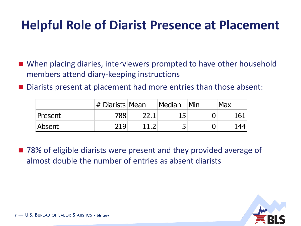#### **Helpful Role of Diarist Presence at Placement**

- When placing diaries, interviewers prompted to have other household members attend diary-keeping instructions
- Diarists present at placement had more entries than those absent:

|         | $#$ Diarists Mean | Median | Min | <b>Max</b> |
|---------|-------------------|--------|-----|------------|
| Present | 788               | 15     |     | 161        |
| Absent  | 219               |        |     | 144        |

■ 78% of eligible diarists were present and they provided average of almost double the number of entries as absent diarists

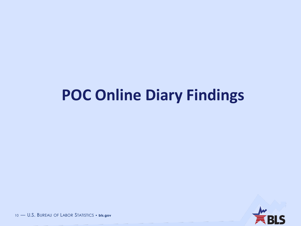# **POC Online Diary Findings**



10 — U.S. BUREAU OF LABOR STATISTICS • **bls.gov**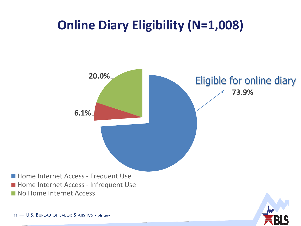### **Online Diary Eligibility (N=1,008)**

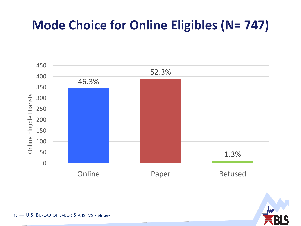### **Mode Choice for Online Eligibles (N= 747)**



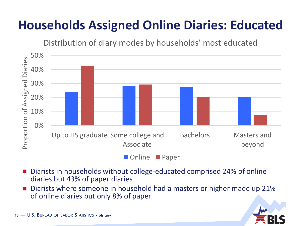## **Households Assigned Online Diaries: Educated**

Distribution of diary modes by households' most educated



- Diarists in households without college-educated comprised 24% of online diaries but 43% of paper diaries
- Diarists where someone in household had a masters or higher made up 21% of online diaries but only 8% of paper

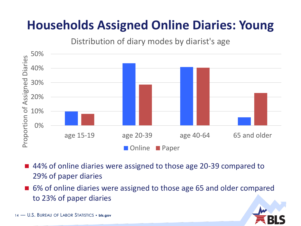## **Households Assigned Online Diaries: Young**

Distribution of diary modes by diarist's age



- 44% of online diaries were assigned to those age 20-39 compared to 29% of paper diaries
- 6% of online diaries were assigned to those age 65 and older compared to 23% of paper diaries

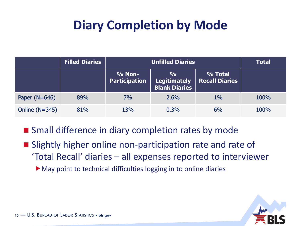### **Diary Completion by Mode**

|                  | <b>Filled Diaries</b> |                                       | <b>Total</b>                                          |                                  |      |
|------------------|-----------------------|---------------------------------------|-------------------------------------------------------|----------------------------------|------|
|                  |                       | <b>% Non-</b><br><b>Participation</b> | $\frac{0}{0}$<br>Legitimately<br><b>Blank Diaries</b> | % Total<br><b>Recall Diaries</b> |      |
| Paper $(N=646)$  | 89%                   | 7%                                    | 2.6%                                                  | $1\%$                            | 100% |
| Online $(N=345)$ | 81%                   | 13%                                   | 0.3%                                                  | 6%                               | 100% |

■ Small difference in diary completion rates by mode

- **Slightly higher online non-participation rate and rate of** 'Total Recall' diaries – all expenses reported to interviewer
	- May point to technical difficulties logging in to online diaries

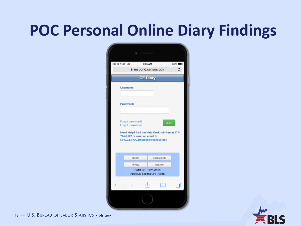# **POC Personal Online Diary Findings**

| <b>STJ T&amp;TA ****</b> |                                                                                                                                                           | 9:05 AM                                                       | 86% |
|--------------------------|-----------------------------------------------------------------------------------------------------------------------------------------------------------|---------------------------------------------------------------|-----|
|                          |                                                                                                                                                           | a respond.census.gov                                          | c   |
|                          |                                                                                                                                                           | <b>CE Diary</b>                                               |     |
|                          | Username:                                                                                                                                                 |                                                               |     |
|                          | Password:                                                                                                                                                 |                                                               |     |
|                          |                                                                                                                                                           |                                                               |     |
|                          | Forgot password?<br>Forgot username?<br>Need Help? Call the Help Desk toll-free at 877-<br>744-1522 or send an email to<br>NPC.CE.POC.Helpdesk@census.gov | Login                                                         |     |
|                          | <b>Burden</b>                                                                                                                                             | Accessibility                                                 |     |
|                          | Privacy                                                                                                                                                   | Security<br>OMB No.: 1220-0050<br>Approval Expires: 3/31/2016 |     |
|                          |                                                                                                                                                           |                                                               | ال  |
|                          |                                                                                                                                                           |                                                               |     |



16 — U.S. BUREAU OF LABOR STATISTICS • **bls.gov**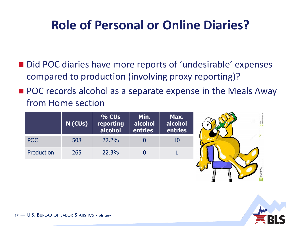### **Role of Personal or Online Diaries?**

- Did POC diaries have more reports of 'undesirable' expenses compared to production (involving proxy reporting)?
- **POC** records alcohol as a separate expense in the Meals Away from Home section

|            | N (CUs) | $\sqrt{26}$ CUs $^{\dagger}$<br>reporting<br>alcohol | Min.<br>alcohol<br>entries | Max.<br>alcohol<br>entries |
|------------|---------|------------------------------------------------------|----------------------------|----------------------------|
| POC        | 508     | 22.2%                                                |                            | 10                         |
| Production | 265     | 22.3%                                                |                            |                            |



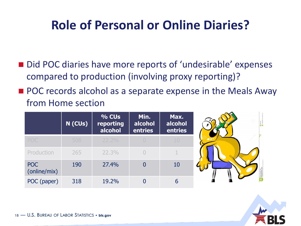#### **Role of Personal or Online Diaries?**

- Did POC diaries have more reports of 'undesirable' expenses compared to production (involving proxy reporting)?
- **POC** records alcohol as a separate expense in the Meals Away from Home section

|                            | N (CUs) | % CUs<br>reporting<br>alcohol | Min.<br>alcohol<br>entries | Max.<br>alcohol<br>entries |  |
|----------------------------|---------|-------------------------------|----------------------------|----------------------------|--|
| <b>POC</b>                 | 508     | $22.2\%$                      |                            | 10                         |  |
| Production                 | 265     | 22.3%                         |                            |                            |  |
| <b>POC</b><br>(online/mix) | 190     | 27.4%                         | 0                          | 10                         |  |
| POC (paper)                | 318     | 19.2%                         |                            | 6                          |  |

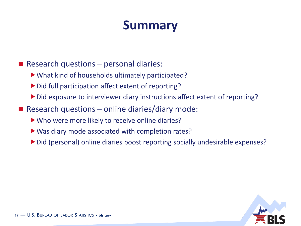- Research questions  $-$  personal diaries:
	- What kind of households ultimately participated?
	- Did full participation affect extent of reporting?
	- Did exposure to interviewer diary instructions affect extent of reporting?
- Research questions online diaries/diary mode:
	- Who were more likely to receive online diaries?
	- Was diary mode associated with completion rates?
	- ▶ Did (personal) online diaries boost reporting socially undesirable expenses?

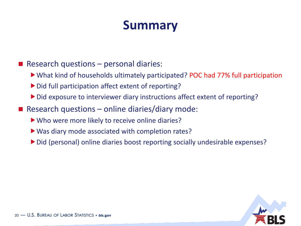- Research questions  $-$  personal diaries:
	- What kind of households ultimately participated? POC had 77% full participation
	- Did full participation affect extent of reporting?
	- Did exposure to interviewer diary instructions affect extent of reporting?
- Research questions online diaries/diary mode:
	- Who were more likely to receive online diaries?
	- Was diary mode associated with completion rates?
	- ▶ Did (personal) online diaries boost reporting socially undesirable expenses?

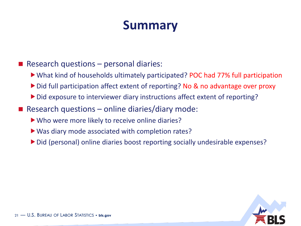- Research questions  $-$  personal diaries:
	- What kind of households ultimately participated? POC had 77% full participation
	- ▶ Did full participation affect extent of reporting? No & no advantage over proxy
	- Did exposure to interviewer diary instructions affect extent of reporting?
- Research questions online diaries/diary mode:
	- Who were more likely to receive online diaries?
	- Was diary mode associated with completion rates?
	- ▶ Did (personal) online diaries boost reporting socially undesirable expenses?

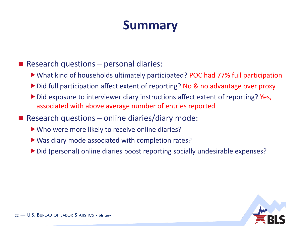Research questions  $-$  personal diaries:

- What kind of households ultimately participated? POC had 77% full participation
- ▶ Did full participation affect extent of reporting? No & no advantage over proxy
- Did exposure to interviewer diary instructions affect extent of reporting? Yes, associated with above average number of entries reported
- Research questions online diaries/diary mode:
	- Who were more likely to receive online diaries?
	- Was diary mode associated with completion rates?
	- ▶ Did (personal) online diaries boost reporting socially undesirable expenses?

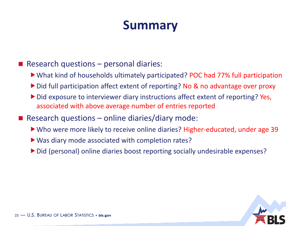Research questions  $-$  personal diaries:

What kind of households ultimately participated? POC had 77% full participation

- ▶ Did full participation affect extent of reporting? No & no advantage over proxy
- Did exposure to interviewer diary instructions affect extent of reporting? Yes, associated with above average number of entries reported
- Research questions online diaries/diary mode:
	- Who were more likely to receive online diaries? Higher-educated, under age 39
	- Was diary mode associated with completion rates?
	- Did (personal) online diaries boost reporting socially undesirable expenses?

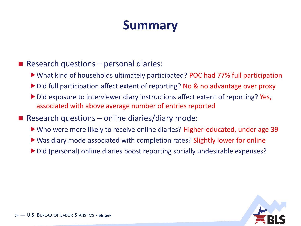Research questions  $-$  personal diaries:

What kind of households ultimately participated? POC had 77% full participation

- ▶ Did full participation affect extent of reporting? No & no advantage over proxy
- Did exposure to interviewer diary instructions affect extent of reporting? Yes, associated with above average number of entries reported
- Research questions online diaries/diary mode:
	- Who were more likely to receive online diaries? Higher-educated, under age 39
	- Was diary mode associated with completion rates? Slightly lower for online
	- ▶ Did (personal) online diaries boost reporting socially undesirable expenses?

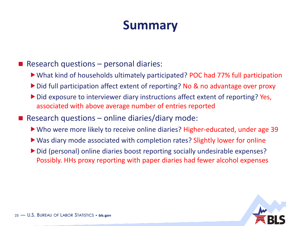Research questions  $-$  personal diaries:

What kind of households ultimately participated? POC had 77% full participation

- ▶ Did full participation affect extent of reporting? No & no advantage over proxy
- Did exposure to interviewer diary instructions affect extent of reporting? Yes, associated with above average number of entries reported
- Research questions online diaries/diary mode:
	- Who were more likely to receive online diaries? Higher-educated, under age 39
	- ▶ Was diary mode associated with completion rates? Slightly lower for online
	- Did (personal) online diaries boost reporting socially undesirable expenses? Possibly. HHs proxy reporting with paper diaries had fewer alcohol expenses

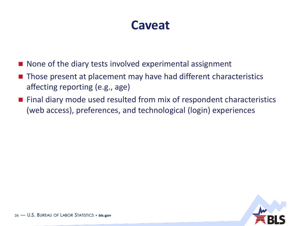#### **Caveat**

- None of the diary tests involved experimental assignment
- Those present at placement may have had different characteristics affecting reporting (e.g., age)
- Final diary mode used resulted from mix of respondent characteristics (web access), preferences, and technological (login) experiences

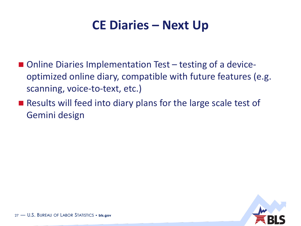#### **CE Diaries – Next Up**

- Online Diaries Implementation Test testing of a deviceoptimized online diary, compatible with future features (e.g. scanning, voice-to-text, etc.)
- Results will feed into diary plans for the large scale test of Gemini design